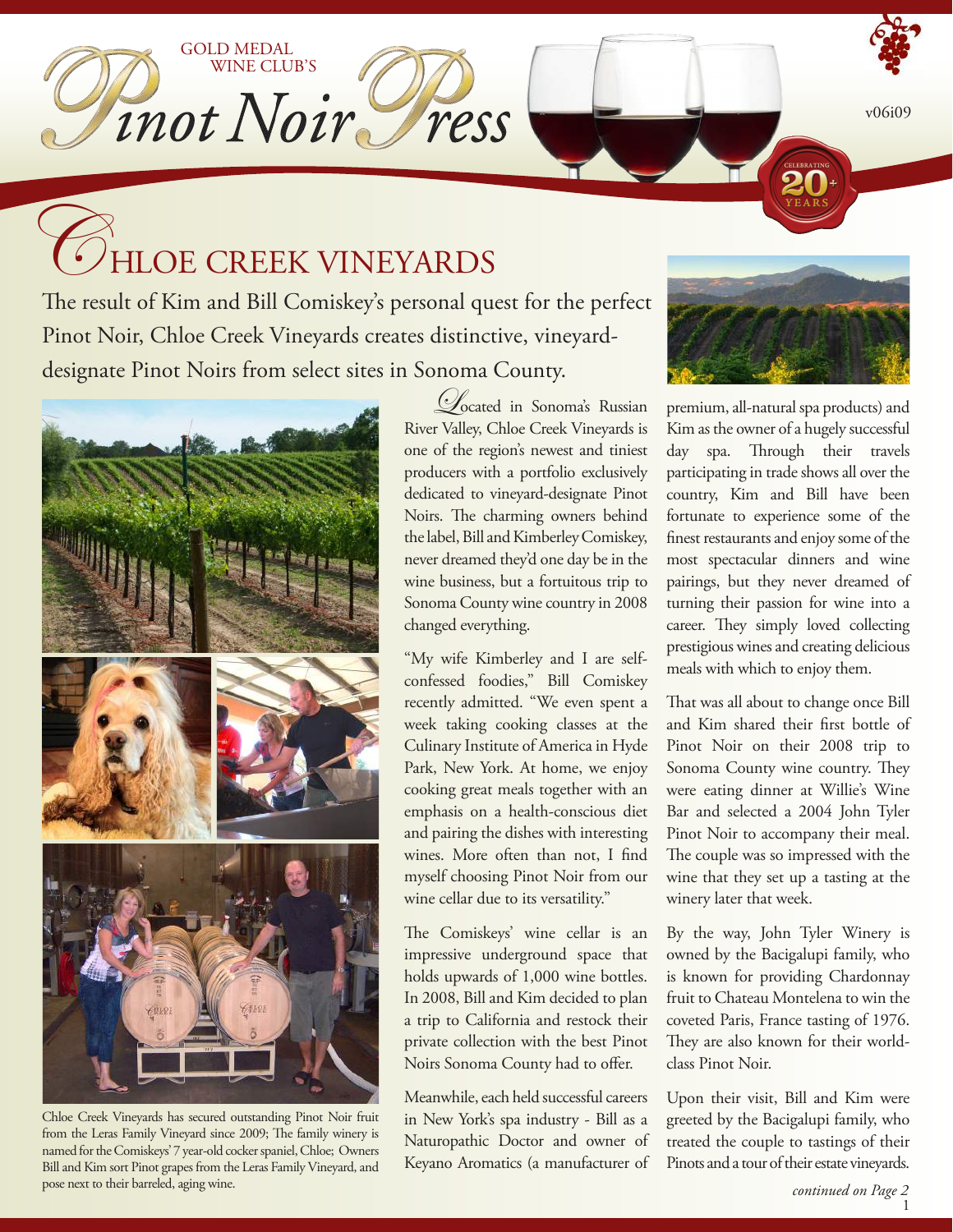v06i09

# **HLOE CREEK VINEYARDS**

GOLD MEDAL

WINE CLUB'S

Inot Noir ress

The result of Kim and Bill Comiskey's personal quest for the perfect Pinot Noir, Chloe Creek Vineyards creates distinctive, vineyarddesignate Pinot Noirs from select sites in Sonoma County.



Chloe Creek Vineyards has secured outstanding Pinot Noir fruit from the Leras Family Vineyard since 2009; The family winery is named for the Comiskeys' 7 year-old cocker spaniel, Chloe; Owners Bill and Kim sort Pinot grapes from the Leras Family Vineyard, and pose next to their barreled, aging wine.

Located in Sonoma's Russian River Valley, Chloe Creek Vineyards is one of the region's newest and tiniest producers with a portfolio exclusively dedicated to vineyard-designate Pinot Noirs. The charming owners behind the label, Bill and Kimberley Comiskey, never dreamed they'd one day be in the wine business, but a fortuitous trip to Sonoma County wine country in 2008 changed everything.

"My wife Kimberley and I are selfconfessed foodies," Bill Comiskey recently admitted. "We even spent a week taking cooking classes at the Culinary Institute of America in Hyde Park, New York. At home, we enjoy cooking great meals together with an emphasis on a health-conscious diet and pairing the dishes with interesting wines. More often than not, I find myself choosing Pinot Noir from our wine cellar due to its versatility."

The Comiskeys' wine cellar is an impressive underground space that holds upwards of 1,000 wine bottles. In 2008, Bill and Kim decided to plan a trip to California and restock their private collection with the best Pinot Noirs Sonoma County had to offer.

Meanwhile, each held successful careers in New York's spa industry - Bill as a Naturopathic Doctor and owner of Keyano Aromatics (a manufacturer of



premium, all-natural spa products) and Kim as the owner of a hugely successful day spa. Through their travels participating in trade shows all over the country, Kim and Bill have been fortunate to experience some of the finest restaurants and enjoy some of the most spectacular dinners and wine pairings, but they never dreamed of turning their passion for wine into a career. They simply loved collecting prestigious wines and creating delicious meals with which to enjoy them.

That was all about to change once Bill and Kim shared their first bottle of Pinot Noir on their 2008 trip to Sonoma County wine country. They were eating dinner at Willie's Wine Bar and selected a 2004 John Tyler Pinot Noir to accompany their meal. The couple was so impressed with the wine that they set up a tasting at the winery later that week.

By the way, John Tyler Winery is owned by the Bacigalupi family, who is known for providing Chardonnay fruit to Chateau Montelena to win the coveted Paris, France tasting of 1976. They are also known for their worldclass Pinot Noir.

Upon their visit, Bill and Kim were greeted by the Bacigalupi family, who treated the couple to tastings of their Pinots and a tour of their estate vineyards.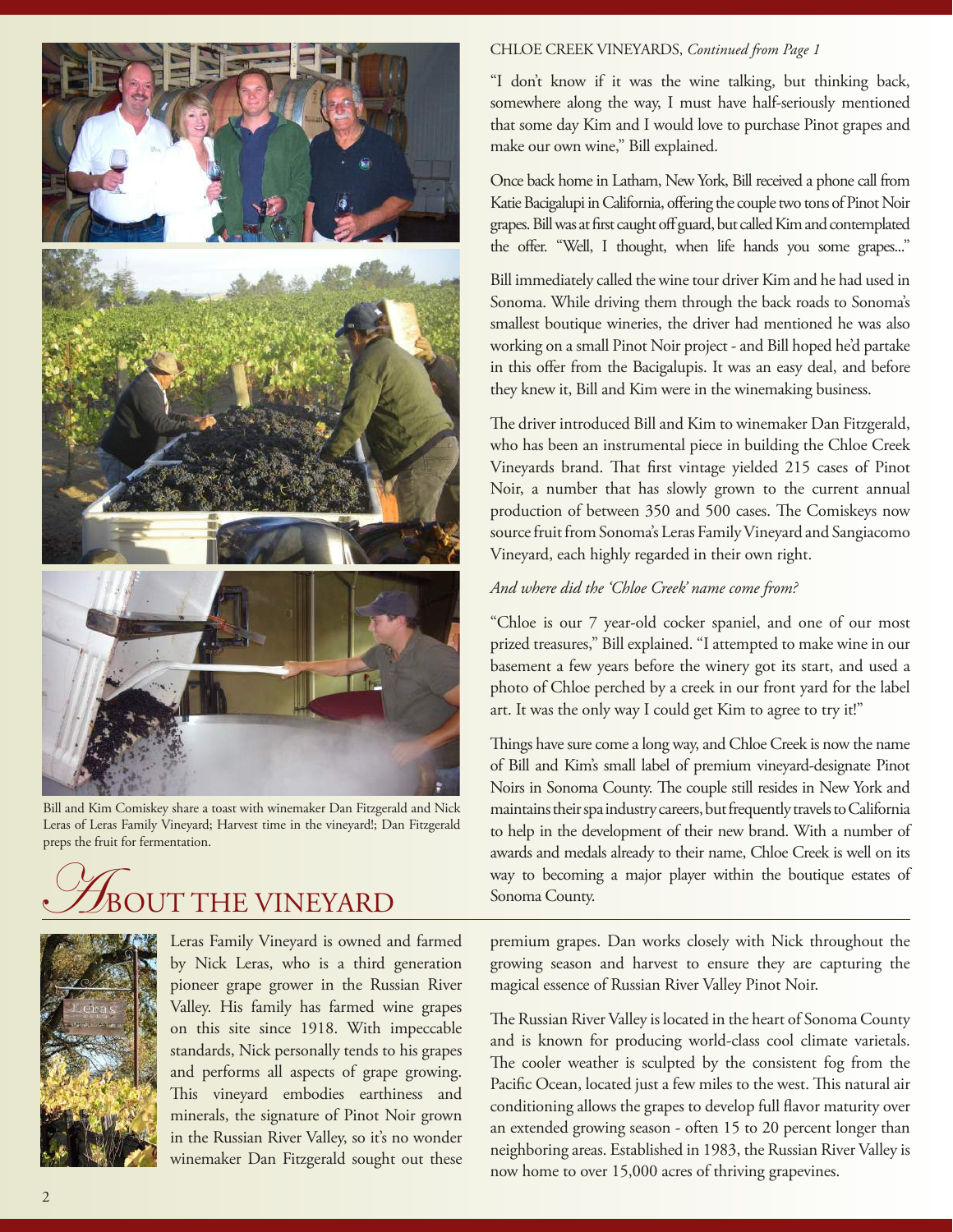

Bill and Kim Comiskey share a toast with winemaker Dan Fitzgerald and Nick Leras of Leras Family Vineyard; Harvest time in the vineyard!; Dan Fitzgerald preps the fruit for fermentation.

## JT THE VINEYARD



Leras Family Vineyard is owned and farmed by Nick Leras, who is a third generation pioneer grape grower in the Russian River Valley. His family has farmed wine grapes on this site since 1918. With impeccable standards, Nick personally tends to his grapes and performs all aspects of grape growing. This vineyard embodies earthiness and minerals, the signature of Pinot Noir grown in the Russian River Valley, so it's no wonder winemaker Dan Fitzgerald sought out these

#### CHLOE CREEK VINEYARDS, *Continued from Page 1*

"I don't know if it was the wine talking, but thinking back, somewhere along the way, I must have half-seriously mentioned that some day Kim and I would love to purchase Pinot grapes and make our own wine," Bill explained.

Once back home in Latham, New York, Bill received a phone call from Katie Bacigalupi in California, offering the couple two tons of Pinot Noir grapes. Bill was at first caught off guard, but called Kim and contemplated the offer. "Well, I thought, when life hands you some grapes..."

Bill immediately called the wine tour driver Kim and he had used in Sonoma. While driving them through the back roads to Sonoma's smallest boutique wineries, the driver had mentioned he was also working on a small Pinot Noir project - and Bill hoped he'd partake in this offer from the Bacigalupis. It was an easy deal, and before they knew it, Bill and Kim were in the winemaking business.

The driver introduced Bill and Kim to winemaker Dan Fitzgerald, who has been an instrumental piece in building the Chloe Creek Vineyards brand. That first vintage yielded 215 cases of Pinot Noir, a number that has slowly grown to the current annual production of between 350 and 500 cases. The Comiskeys now source fruit from Sonoma's Leras Family Vineyard and Sangiacomo Vineyard, each highly regarded in their own right.

#### *And where did the 'Chloe Creek' name come from?*

"Chloe is our 7 year-old cocker spaniel, and one of our most prized treasures," Bill explained. "I attempted to make wine in our basement a few years before the winery got its start, and used a photo of Chloe perched by a creek in our front yard for the label art. It was the only way I could get Kim to agree to try it!"

Things have sure come a long way, and Chloe Creek is now the name of Bill and Kim's small label of premium vineyard-designate Pinot Noirs in Sonoma County. The couple still resides in New York and maintains their spa industry careers, but frequently travels to California to help in the development of their new brand. With a number of awards and medals already to their name, Chloe Creek is well on its way to becoming a major player within the boutique estates of Sonoma County.

premium grapes. Dan works closely with Nick throughout the growing season and harvest to ensure they are capturing the magical essence of Russian River Valley Pinot Noir.

The Russian River Valley is located in the heart of Sonoma County and is known for producing world-class cool climate varietals. The cooler weather is sculpted by the consistent fog from the Pacific Ocean, located just a few miles to the west. This natural air conditioning allows the grapes to develop full flavor maturity over an extended growing season - often 15 to 20 percent longer than neighboring areas. Established in 1983, the Russian River Valley is now home to over 15,000 acres of thriving grapevines.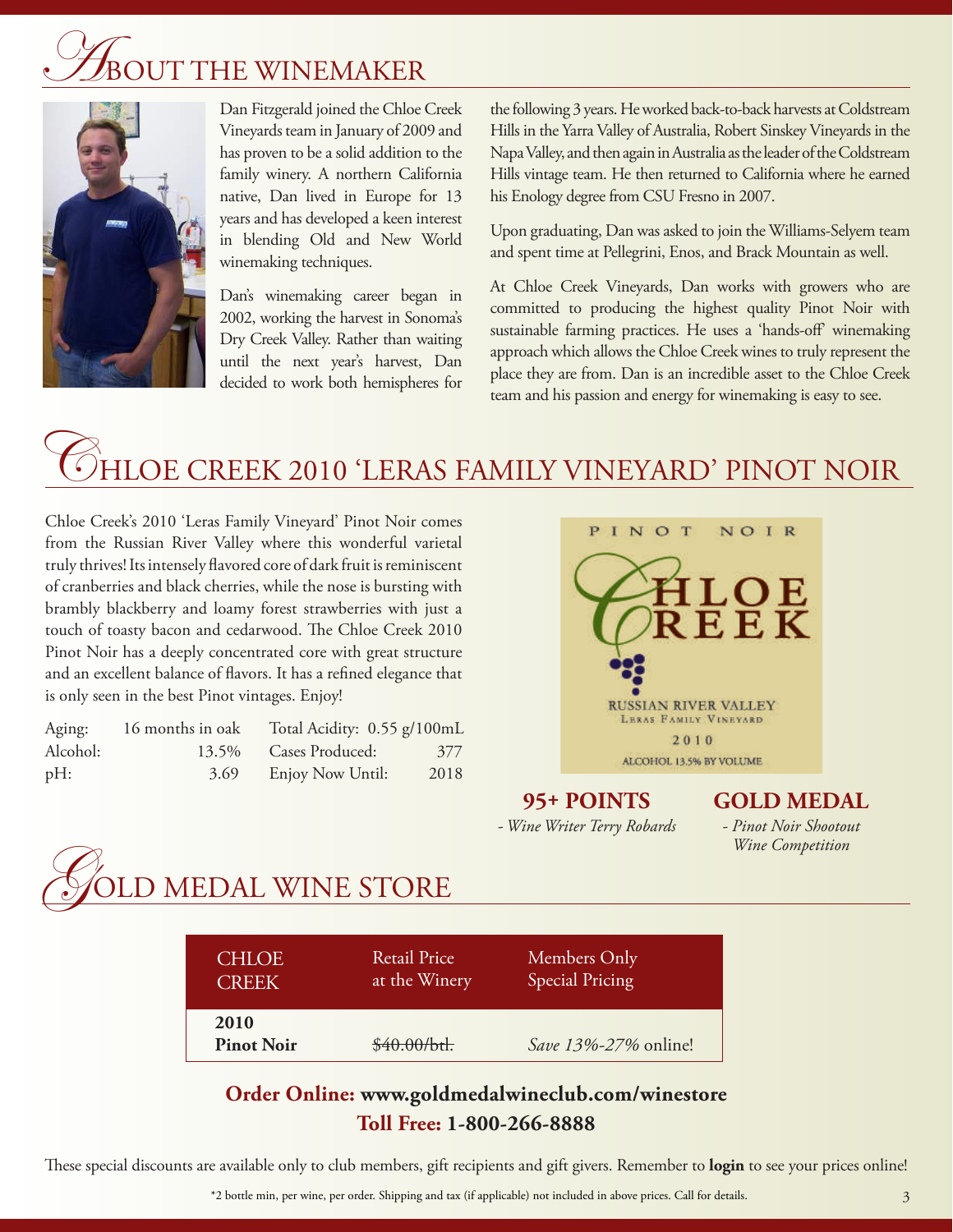# UT THE WINEMAKER



Dan Fitzgerald joined the Chloe Creek Vineyards team in January of 2009 and has proven to be a solid addition to the family winery. A northern California native, Dan lived in Europe for 13 years and has developed a keen interest in blending Old and New World winemaking techniques.

Dan's winemaking career began in 2002, working the harvest in Sonoma's Dry Creek Valley. Rather than waiting until the next year's harvest, Dan decided to work both hemispheres for

the following 3 years. He worked back-to-back harvests at Coldstream Hills in the Yarra Valley of Australia, Robert Sinskey Vineyards in the Napa Valley, and then again in Australia as the leader of the Coldstream Hills vintage team. He then returned to California where he earned his Enology degree from CSU Fresno in 2007.

Upon graduating, Dan was asked to join the Williams-Selyem team and spent time at Pellegrini, Enos, and Brack Mountain as well.

At Chloe Creek Vineyards, Dan works with growers who are committed to producing the highest quality Pinot Noir with sustainable farming practices. He uses a 'hands-off' winemaking approach which allows the Chloe Creek wines to truly represent the place they are from. Dan is an incredible asset to the Chloe Creek team and his passion and energy for winemaking is easy to see.

## HLOE CREEK 2010 'LERAS FAMILY VINEYARD' PINOT NOIR

Chloe Creek's 2010 'Leras Family Vineyard' Pinot Noir comes from the Russian River Valley where this wonderful varietal truly thrives! Its intensely flavored core of dark fruit is reminiscent of cranberries and black cherries, while the nose is bursting with brambly blackberry and loamy forest strawberries with just a touch of toasty bacon and cedarwood. The Chloe Creek 2010 Pinot Noir has a deeply concentrated core with great structure and an excellent balance of flavors. It has a refined elegance that is only seen in the best Pinot vintages. Enjoy!

| Aging:   | 16 months in oak | Total Acidity: 0.55 g/100mL |      |
|----------|------------------|-----------------------------|------|
| Alcohol: | 13.5%            | Cases Produced:             | 377  |
| pH:      | 3.69             | Enjoy Now Until:            | 2018 |



**95+ POINTS** *- Wine Writer Terry Robards* **GOLD MEDAL**

*- Pinot Noir Shootout Wine Competition*



| <b>CHLOE</b>              | <b>Retail Price</b> | Members Only           |
|---------------------------|---------------------|------------------------|
| <b>CREEK</b>              | at the Winery       | <b>Special Pricing</b> |
| 2010<br><b>Pinot Noir</b> | \$40.00/btl.        | Save 13%-27% online!   |

### **Order Online: www.goldmedalwineclub.com/winestore Toll Free: 1-800-266-8888**

These special discounts are available only to club members, gift recipients and gift givers. Remember to **login** to see your prices online!

\*2 bottle min, per wine, per order. Shipping and tax (if applicable) not included in above prices. Call for details.